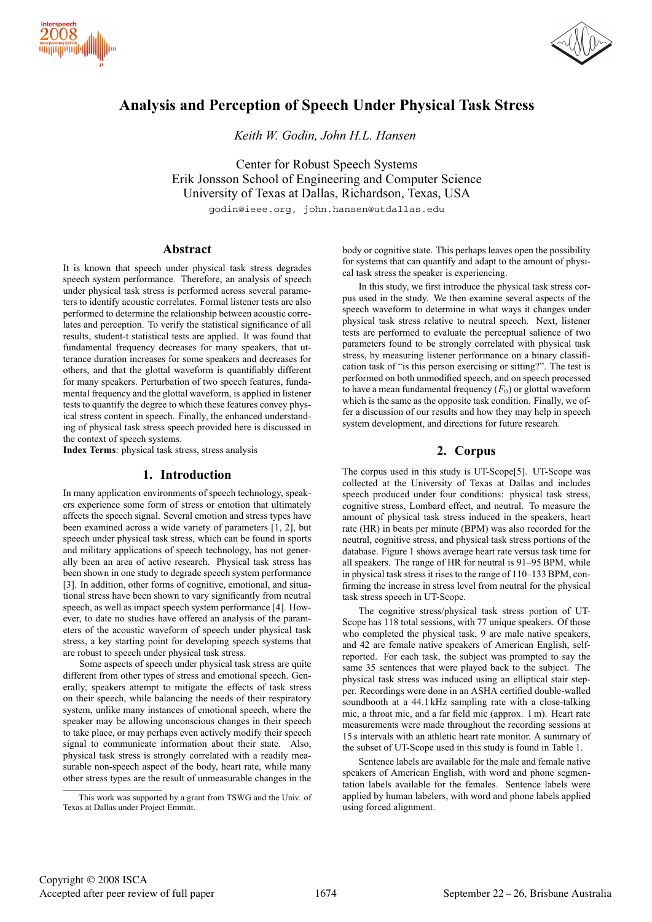



# **Analysis and Perception of Speech Under Physical Task Stress**

*Keith W. Godin, John H.L. Hansen*

Center for Robust Speech Systems Erik Jonsson School of Engineering and Computer Science University of Texas at Dallas, Richardson, Texas, USA

godin@ieee.org, john.hansen@utdallas.edu

# **Abstract**

It is known that speech under physical task stress degrades speech system performance. Therefore, an analysis of speech under physical task stress is performed across several parameters to identify acoustic correlates. Formal listener tests are also performed to determine the relationship between acoustic correlates and perception. To verify the statistical significance of all results, student-t statistical tests are applied. It was found that fundamental frequency decreases for many speakers, that utterance duration increases for some speakers and decreases for others, and that the glottal waveform is quantifiably different for many speakers. Perturbation of two speech features, fundamental frequency and the glottal waveform, is applied in listener tests to quantify the degree to which these features convey physical stress content in speech. Finally, the enhanced understanding of physical task stress speech provided here is discussed in the context of speech systems.

**Index Terms**: physical task stress, stress analysis

# **1. Introduction**

In many application environments of speech technology, speakers experience some form of stress or emotion that ultimately affects the speech signal. Several emotion and stress types have been examined across a wide variety of parameters [1, 2], but speech under physical task stress, which can be found in sports and military applications of speech technology, has not generally been an area of active research. Physical task stress has been shown in one study to degrade speech system performance [3]. In addition, other forms of cognitive, emotional, and situational stress have been shown to vary significantly from neutral speech, as well as impact speech system performance [4]. However, to date no studies have offered an analysis of the parameters of the acoustic waveform of speech under physical task stress, a key starting point for developing speech systems that are robust to speech under physical task stress.

Some aspects of speech under physical task stress are quite different from other types of stress and emotional speech. Generally, speakers attempt to mitigate the effects of task stress on their speech, while balancing the needs of their respiratory system, unlike many instances of emotional speech, where the speaker may be allowing unconscious changes in their speech to take place, or may perhaps even actively modify their speech signal to communicate information about their state. Also, physical task stress is strongly correlated with a readily measurable non-speech aspect of the body, heart rate, while many other stress types are the result of unmeasurable changes in the body or cognitive state. This perhaps leaves open the possibility for systems that can quantify and adapt to the amount of physical task stress the speaker is experiencing.

In this study, we first introduce the physical task stress corpus used in the study. We then examine several aspects of the speech waveform to determine in what ways it changes under physical task stress relative to neutral speech. Next, listener tests are performed to evaluate the perceptual salience of two parameters found to be strongly correlated with physical task stress, by measuring listener performance on a binary classification task of "is this person exercising or sitting?". The test is performed on both unmodified speech, and on speech processed to have a mean fundamental frequency  $(F_0)$  or glottal waveform which is the same as the opposite task condition. Finally, we offer a discussion of our results and how they may help in speech system development, and directions for future research.

# **2. Corpus**

The corpus used in this study is UT-Scope[5]. UT-Scope was collected at the University of Texas at Dallas and includes speech produced under four conditions: physical task stress, cognitive stress, Lombard effect, and neutral. To measure the amount of physical task stress induced in the speakers, heart rate (HR) in beats per minute (BPM) was also recorded for the neutral, cognitive stress, and physical task stress portions of the database. Figure 1 shows average heart rate versus task time for all speakers. The range of HR for neutral is 91–95 BPM, while in physical task stress it rises to the range of 110–133 BPM, confirming the increase in stress level from neutral for the physical task stress speech in UT-Scope.

The cognitive stress/physical task stress portion of UT-Scope has 118 total sessions, with 77 unique speakers. Of those who completed the physical task, 9 are male native speakers, and 42 are female native speakers of American English, selfreported. For each task, the subject was prompted to say the same 35 sentences that were played back to the subject. The physical task stress was induced using an elliptical stair stepper. Recordings were done in an ASHA certified double-walled soundbooth at a 44.1 kHz sampling rate with a close-talking mic, a throat mic, and a far field mic (approx. 1 m). Heart rate measurements were made throughout the recording sessions at 15 s intervals with an athletic heart rate monitor. A summary of the subset of UT-Scope used in this study is found in Table 1.

Sentence labels are available for the male and female native speakers of American English, with word and phone segmentation labels available for the females. Sentence labels were applied by human labelers, with word and phone labels applied using forced alignment.

This work was supported by a grant from TSWG and the Univ. of Texas at Dallas under Project Emmitt.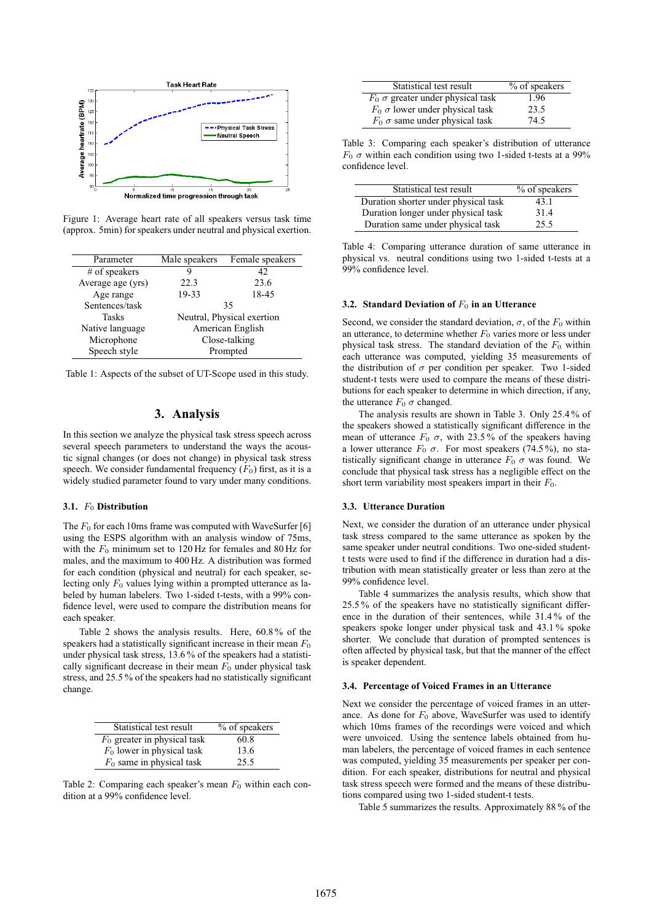

Figure 1: Average heart rate of all speakers versus task time (approx. 5min) for speakers under neutral and physical exertion.

| Parameter         | Male speakers              | Female speakers |
|-------------------|----------------------------|-----------------|
| $#$ of speakers   | 9                          | 42              |
| Average age (yrs) | 22.3                       | 23.6            |
| Age range         | 19-33                      | 18-45           |
| Sentences/task    | 35                         |                 |
| Tasks             | Neutral, Physical exertion |                 |
| Native language   | American English           |                 |
| Microphone        | Close-talking              |                 |
| Speech style      | Prompted                   |                 |
|                   |                            |                 |

Table 1: Aspects of the subset of UT-Scope used in this study.

# **3. Analysis**

In this section we analyze the physical task stress speech across several speech parameters to understand the ways the acoustic signal changes (or does not change) in physical task stress speech. We consider fundamental frequency  $(F_0)$  first, as it is a widely studied parameter found to vary under many conditions.

#### **3.1.** F<sup>0</sup> **Distribution**

The  $F_0$  for each 10ms frame was computed with WaveSurfer [6] using the ESPS algorithm with an analysis window of 75ms, with the  $F_0$  minimum set to 120 Hz for females and 80 Hz for males, and the maximum to 400 Hz. A distribution was formed for each condition (physical and neutral) for each speaker, selecting only  $F_0$  values lying within a prompted utterance as labeled by human labelers. Two 1-sided t-tests, with a 99% confidence level, were used to compare the distribution means for each speaker.

Table 2 shows the analysis results. Here, 60.8 % of the speakers had a statistically significant increase in their mean  $F_0$ under physical task stress, 13.6 % of the speakers had a statistically significant decrease in their mean  $F_0$  under physical task stress, and 25.5 % of the speakers had no statistically significant change.

| Statistical test result        | % of speakers |
|--------------------------------|---------------|
| $F_0$ greater in physical task | 60.8          |
| $F_0$ lower in physical task   | 13.6          |
| $F_0$ same in physical task    | 25.5          |

Table 2: Comparing each speaker's mean  $F_0$  within each condition at a 99% confidence level.

| Statistical test result                    | % of speakers |
|--------------------------------------------|---------------|
| $F_0$ $\sigma$ greater under physical task | 1.96          |
| $F_0$ $\sigma$ lower under physical task   | 23.5          |
| $F_0$ $\sigma$ same under physical task    | 74.5          |

Table 3: Comparing each speaker's distribution of utterance  $F_0$   $\sigma$  within each condition using two 1-sided t-tests at a 99% confidence level.

| Statistical test result              | % of speakers |
|--------------------------------------|---------------|
| Duration shorter under physical task | 43.1          |
| Duration longer under physical task  | 31.4          |
| Duration same under physical task    | 25.5          |

Table 4: Comparing utterance duration of same utterance in physical vs. neutral conditions using two 1-sided t-tests at a 99% confidence level.

#### **3.2. Standard Deviation of**  $F_0$  in an Utterance

Second, we consider the standard deviation,  $\sigma$ , of the  $F_0$  within an utterance, to determine whether  $F_0$  varies more or less under physical task stress. The standard deviation of the  $F_0$  within each utterance was computed, yielding 35 measurements of the distribution of  $\sigma$  per condition per speaker. Two 1-sided student-t tests were used to compare the means of these distributions for each speaker to determine in which direction, if any, the utterance  $F_0 \sigma$  changed.

The analysis results are shown in Table 3. Only 25.4 % of the speakers showed a statistically significant difference in the mean of utterance  $F_0$   $\sigma$ , with 23.5% of the speakers having a lower utterance  $F_0$  σ. For most speakers (74.5%), no statistically significant change in utterance  $F_0$   $\sigma$  was found. We conclude that physical task stress has a negligible effect on the short term variability most speakers impart in their  $F_0$ .

#### **3.3. Utterance Duration**

Next, we consider the duration of an utterance under physical task stress compared to the same utterance as spoken by the same speaker under neutral conditions. Two one-sided studentt tests were used to find if the difference in duration had a distribution with mean statistically greater or less than zero at the 99% confidence level.

Table 4 summarizes the analysis results, which show that 25.5 % of the speakers have no statistically significant difference in the duration of their sentences, while 31.4 % of the speakers spoke longer under physical task and 43.1 % spoke shorter. We conclude that duration of prompted sentences is often affected by physical task, but that the manner of the effect is speaker dependent.

### **3.4. Percentage of Voiced Frames in an Utterance**

Next we consider the percentage of voiced frames in an utterance. As done for  $F_0$  above, WaveSurfer was used to identify which 10ms frames of the recordings were voiced and which were unvoiced. Using the sentence labels obtained from human labelers, the percentage of voiced frames in each sentence was computed, yielding 35 measurements per speaker per condition. For each speaker, distributions for neutral and physical task stress speech were formed and the means of these distributions compared using two 1-sided student-t tests.

Table 5 summarizes the results. Approximately 88 % of the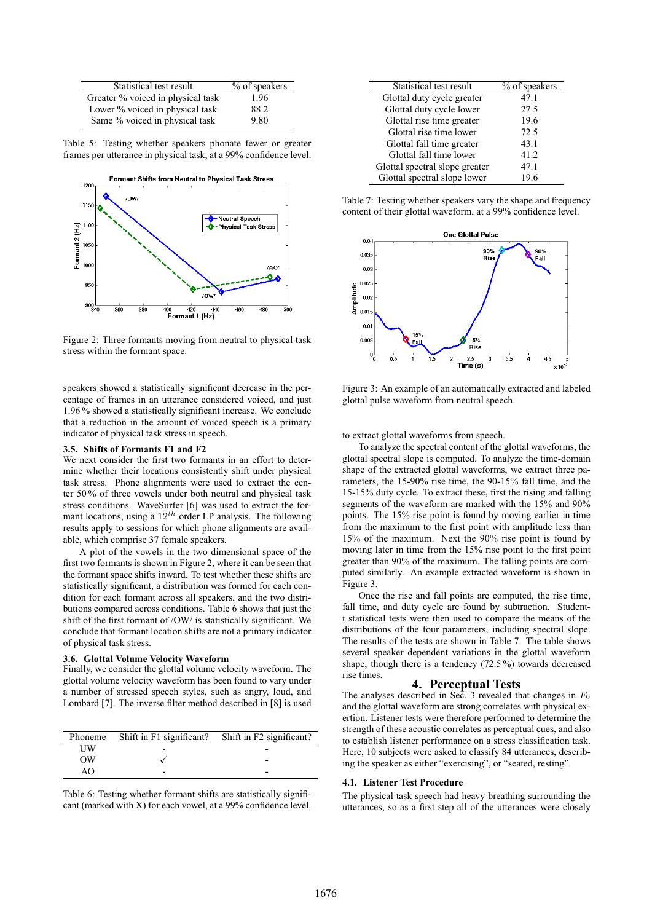| Statistical test result           | % of speakers |
|-----------------------------------|---------------|
| Greater % voiced in physical task | 1.96          |
| Lower % voiced in physical task   | 88.2          |
| Same % voiced in physical task    | 9.80          |

Table 5: Testing whether speakers phonate fewer or greater frames per utterance in physical task, at a 99% confidence level.



Figure 2: Three formants moving from neutral to physical task stress within the formant space.

speakers showed a statistically significant decrease in the percentage of frames in an utterance considered voiced, and just 1.96 % showed a statistically significant increase. We conclude that a reduction in the amount of voiced speech is a primary indicator of physical task stress in speech.

#### **3.5. Shifts of Formants F1 and F2**

We next consider the first two formants in an effort to determine whether their locations consistently shift under physical task stress. Phone alignments were used to extract the center 50 % of three vowels under both neutral and physical task stress conditions. WaveSurfer [6] was used to extract the formant locations, using a  $12^{th}$  order LP analysis. The following results apply to sessions for which phone alignments are available, which comprise 37 female speakers.

A plot of the vowels in the two dimensional space of the first two formants is shown in Figure 2, where it can be seen that the formant space shifts inward. To test whether these shifts are statistically significant, a distribution was formed for each condition for each formant across all speakers, and the two distributions compared across conditions. Table 6 shows that just the shift of the first formant of /OW/ is statistically significant. We conclude that formant location shifts are not a primary indicator of physical task stress.

#### **3.6. Glottal Volume Velocity Waveform**

Finally, we consider the glottal volume velocity waveform. The glottal volume velocity waveform has been found to vary under a number of stressed speech styles, such as angry, loud, and Lombard [7]. The inverse filter method described in [8] is used

| Phoneme | Shift in F1 significant? Shift in F2 significant? |
|---------|---------------------------------------------------|
| UW      |                                                   |
| OΨ      |                                                   |
| AΟ      |                                                   |

Table 6: Testing whether formant shifts are statistically significant (marked with X) for each vowel, at a 99% confidence level.

| Statistical test result        | % of speakers |
|--------------------------------|---------------|
| Glottal duty cycle greater     | 47.1          |
| Glottal duty cycle lower       | 27.5          |
| Glottal rise time greater      | 19.6          |
| Glottal rise time lower        | 72.5          |
| Glottal fall time greater      | 43.1          |
| Glottal fall time lower        | 41.2          |
| Glottal spectral slope greater | 47.1          |
| Glottal spectral slope lower   | 19.6          |

Table 7: Testing whether speakers vary the shape and frequency content of their glottal waveform, at a 99% confidence level.



Figure 3: An example of an automatically extracted and labeled glottal pulse waveform from neutral speech.

to extract glottal waveforms from speech.

To analyze the spectral content of the glottal waveforms, the glottal spectral slope is computed. To analyze the time-domain shape of the extracted glottal waveforms, we extract three parameters, the 15-90% rise time, the 90-15% fall time, and the 15-15% duty cycle. To extract these, first the rising and falling segments of the waveform are marked with the 15% and 90% points. The 15% rise point is found by moving earlier in time from the maximum to the first point with amplitude less than 15% of the maximum. Next the 90% rise point is found by moving later in time from the 15% rise point to the first point greater than 90% of the maximum. The falling points are computed similarly. An example extracted waveform is shown in Figure 3.

Once the rise and fall points are computed, the rise time, fall time, and duty cycle are found by subtraction. Studentt statistical tests were then used to compare the means of the distributions of the four parameters, including spectral slope. The results of the tests are shown in Table 7. The table shows several speaker dependent variations in the glottal waveform shape, though there is a tendency (72.5 %) towards decreased rise times.

**4. Perceptual Tests** The analyses described in Sec. 3 revealed that changes in  $F_0$ and the glottal waveform are strong correlates with physical exertion. Listener tests were therefore performed to determine the strength of these acoustic correlates as perceptual cues, and also to establish listener performance on a stress classification task. Here, 10 subjects were asked to classify 84 utterances, describing the speaker as either "exercising", or "seated, resting".

#### **4.1. Listener Test Procedure**

The physical task speech had heavy breathing surrounding the utterances, so as a first step all of the utterances were closely